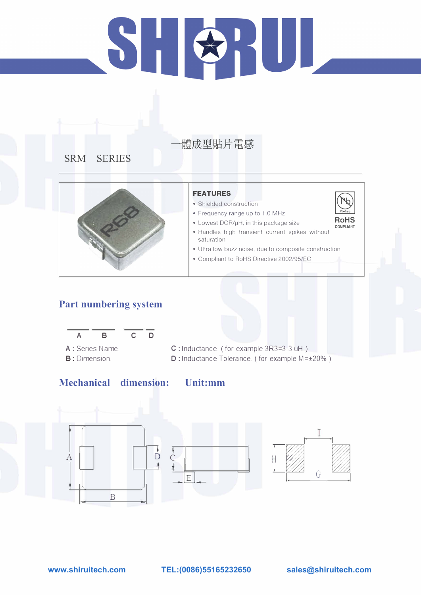# 51 KUL

# 體成型貼片電感

**SRM SERIES** 



### **Part numbering system**



A : Series Name. **B**: Dimension.

### **FEATURES**

- Shielded construction
- Frequency range up to 1.0 MHz



#### **Mechanical dimension: Unit:mm**



- Handles high transient current spikes without saturation
- Ultra low buzz noise. due to composite construction
- Compliant to RoHS Directive 2002/95/EC



C : Inductance. ( for example 3R3=3 .3 uH ) D: Inductance Tolerance. ( for example M=±20%)